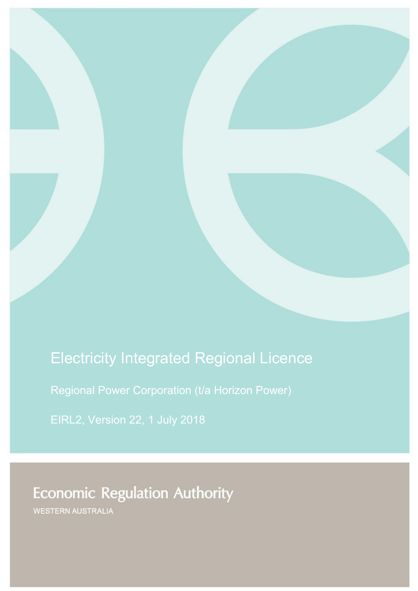# Electricity Integrated Regional Licence

Regional Power Corporation (t/a Horizon Power)

EIRL2, Version 22, 1 July 2018

**Economic Regulation Authority** 

WESTERN AUSTRALIA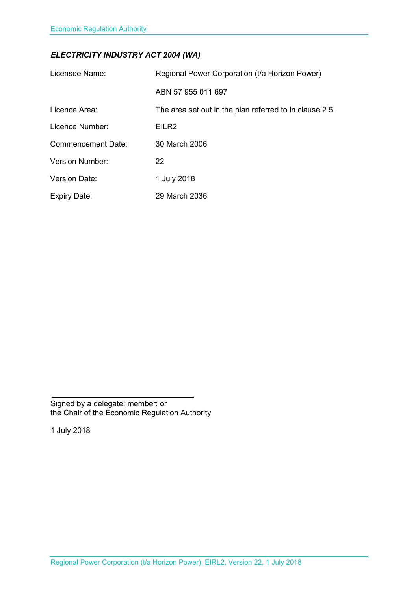## *ELECTRICITY INDUSTRY ACT 2004 (WA)*

<span id="page-1-1"></span><span id="page-1-0"></span>

| Licensee Name:            | Regional Power Corporation (t/a Horizon Power)          |
|---------------------------|---------------------------------------------------------|
|                           | ABN 57 955 011 697                                      |
| Licence Area:             | The area set out in the plan referred to in clause 2.5. |
| Licence Number:           | EILR <sub>2</sub>                                       |
| <b>Commencement Date:</b> | 30 March 2006                                           |
| <b>Version Number:</b>    | 22                                                      |
| <b>Version Date:</b>      | 1 July 2018                                             |
| <b>Expiry Date:</b>       | 29 March 2036                                           |

Signed by a delegate; member; or the Chair of the Economic Regulation Authority

1 July 2018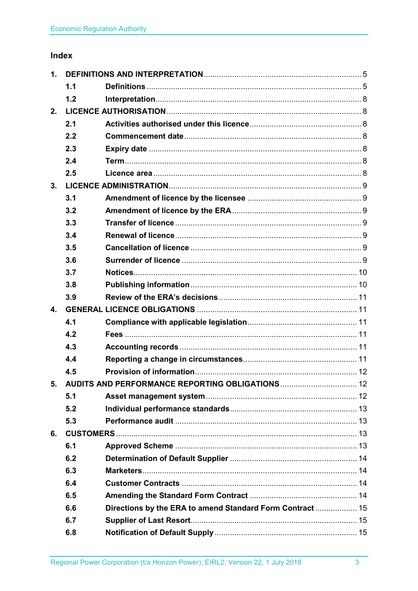## Index

| 1.             |     |                                                           |  |
|----------------|-----|-----------------------------------------------------------|--|
|                | 1.1 |                                                           |  |
|                | 1.2 |                                                           |  |
| 2.             |     |                                                           |  |
|                | 2.1 |                                                           |  |
|                | 2.2 |                                                           |  |
|                | 2.3 |                                                           |  |
|                | 2.4 |                                                           |  |
|                | 2.5 |                                                           |  |
| 3.             |     |                                                           |  |
|                | 3.1 |                                                           |  |
|                | 3.2 |                                                           |  |
|                | 3.3 |                                                           |  |
|                | 3.4 |                                                           |  |
|                | 3.5 |                                                           |  |
|                | 3.6 |                                                           |  |
|                | 3.7 |                                                           |  |
|                | 3.8 |                                                           |  |
|                | 3.9 |                                                           |  |
| $\mathbf{4}$ . |     |                                                           |  |
|                | 4.1 |                                                           |  |
|                | 4.2 |                                                           |  |
|                | 4.3 |                                                           |  |
|                | 4.4 |                                                           |  |
|                | 4.5 |                                                           |  |
|                |     | 5. AUDITS AND PERFORMANCE REPORTING OBLIGATIONS  12       |  |
|                | 5.1 |                                                           |  |
|                | 5.2 |                                                           |  |
|                | 5.3 |                                                           |  |
| 6.             |     |                                                           |  |
|                | 6.1 |                                                           |  |
|                | 6.2 |                                                           |  |
|                | 6.3 |                                                           |  |
|                | 6.4 |                                                           |  |
|                | 6.5 |                                                           |  |
|                | 6.6 | Directions by the ERA to amend Standard Form Contract  15 |  |
|                | 6.7 |                                                           |  |
|                | 6.8 |                                                           |  |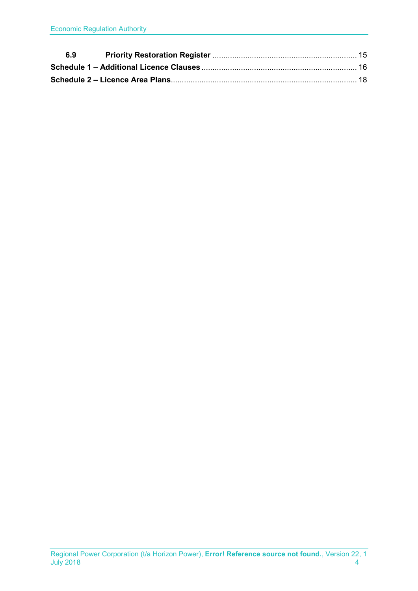| 6.9 |  |
|-----|--|
|     |  |
|     |  |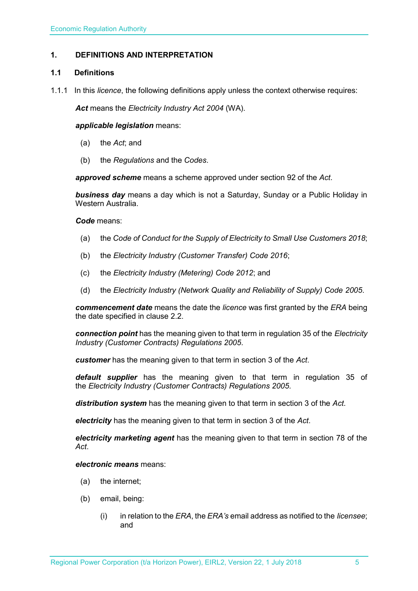## <span id="page-4-0"></span>**1. DEFINITIONS AND INTERPRETATION**

## <span id="page-4-1"></span>**1.1 Definitions**

1.1.1 In this *licence*, the following definitions apply unless the context otherwise requires:

*Act* means the *Electricity Industry Act 2004* (WA).

#### *applicable legislation* means:

- (a) the *Act*; and
- (b) the *Regulations* and the *Codes*.

*approved scheme* means a scheme approved under section 92 of the *Act*.

*business day* means a day which is not a Saturday, Sunday or a Public Holiday in Western Australia.

#### *Code* means:

- (a) the *Code of Conduct for the Supply of Electricity to Small Use Customers 2018*;
- (b) the *Electricity Industry (Customer Transfer) Code 2016*;
- (c) the *Electricity Industry (Metering) Code 2012*; and
- (d) the *Electricity Industry (Network Quality and Reliability of Supply) Code 2005*.

*commencement date* means the date the *licence* was first granted by the *ERA* being the date specified in clause 2.2.

*connection point* has the meaning given to that term in regulation 35 of the *[Electricity](http://www.slp.wa.gov.au/legislation/statutes.nsf/main_mrtitle_1345_homepage.html)  [Industry \(Customer Contracts\) Regulations 2005](http://www.slp.wa.gov.au/legislation/statutes.nsf/main_mrtitle_1345_homepage.html)*.

*customer* has the meaning given to that term in section 3 of the *Act*.

*default supplier* has the meaning given to that term in regulation 35 of the *Electricity [Industry \(Customer Contracts\) Regulations 2005.](http://www.slp.wa.gov.au/legislation/statutes.nsf/main_mrtitle_1345_homepage.html)*

*distribution system* has the meaning given to that term in section 3 of the *Act*.

*electricity* has the meaning given to that term in section 3 of the *Act*.

*electricity marketing agent* has the meaning given to that term in section 78 of the *Act*.

#### *electronic means* means:

- (a) the internet;
- (b) email, being:
	- (i) in relation to the *ERA*, the *ERA's* email address as notified to the *licensee*; and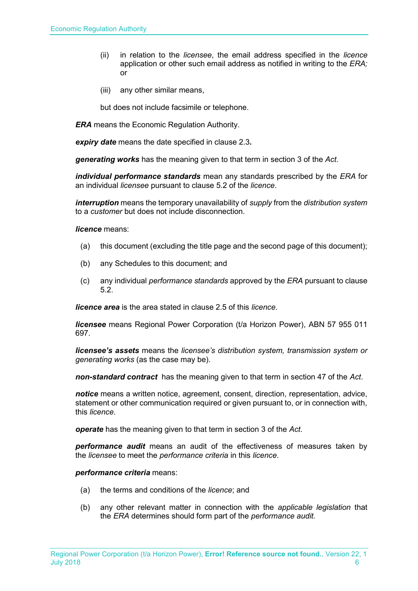- (ii) in relation to the *licensee*, the email address specified in the *licence* application or other such email address as notified in writing to the *ERA;* or
- (iii) any other similar means,

but does not include facsimile or telephone.

*ERA* means the Economic Regulation Authority.

*expiry date* means the date specified in clause 2.3*.*

*generating works* has the meaning given to that term in section 3 of the *Act*.

*individual performance standards* mean any standards prescribed by the *ERA* for an individual *licensee* pursuant to clause 5.2 of the *licence*.

*interruption* means the temporary unavailability of *supply* from the *distribution system* to a *customer* but does not include disconnection.

*licence* means:

- (a) this document (excluding the title page and the second page of this document);
- (b) any Schedules to this document; and
- (c) any individual *performance standards* approved by the *ERA* pursuant to clause 5.2.

*licence area* is the area stated in clause 2.5 of this *licence*.

*licensee* means Regional Power Corporation (t/a Horizon Power), ABN 57 955 011 697.

*licensee's assets* means the *licensee's distribution system, transmission system or generating works* (as the case may be).

*non-standard contract* has the meaning given to that term in section 47 of the *Act*.

*notice* means a written notice, agreement, consent, direction, representation, advice, statement or other communication required or given pursuant to, or in connection with, this *licence*.

*operate* has the meaning given to that term in section 3 of the *Act*.

*performance audit* means an audit of the effectiveness of measures taken by the *licensee* to meet the *performance criteria* in this *licence*.

*performance criteria* means:

- (a) the terms and conditions of the *licence*; and
- (b) any other relevant matter in connection with the *applicable legislation* that the *ERA* determines should form part of the *performance audit*.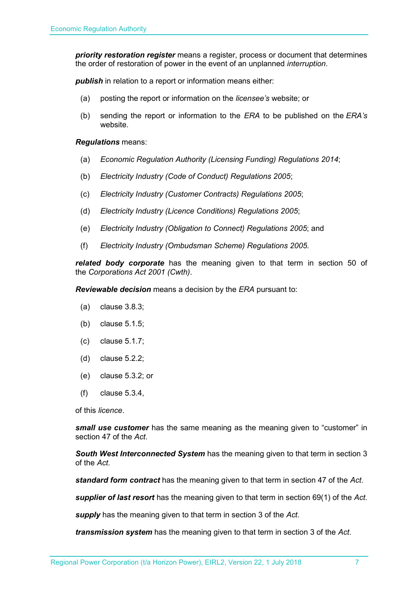*priority restoration register* means a register, process or document that determines the order of restoration of power in the event of an unplanned *interruption*.

*publish* in relation to a report or information means either:

- (a) posting the report or information on the *licensee's* website; or
- (b) sending the report or information to the *ERA* to be published on the *ERA's* website.

*Regulations* means:

- (a) *Economic Regulation Authority (Licensing Funding) Regulations 2014*;
- (b) *Electricity Industry (Code of Conduct) Regulations 2005*;
- (c) *Electricity Industry (Customer Contracts) Regulations 2005*;
- (d) *Electricity Industry (Licence Conditions) Regulations 2005*;
- (e) *Electricity Industry (Obligation to Connect) Regulations 2005*; and
- (f) *Electricity Industry (Ombudsman Scheme) Regulations 2005.*

*related body corporate* has the meaning given to that term in section 50 of the *Corporations Act 2001 (Cwth)*.

*Reviewable decision* means a decision by the *ERA* pursuant to:

- (a) clause 3.8.3;
- (b) clause 5.1.5;
- (c) clause 5.1.7;
- (d) clause 5.2.2;
- (e) clause 5.3.2; or
- (f) clause 5.3.4,

of this *licence*.

*small use customer* has the same meaning as the meaning given to "customer" in section 47 of the *Act*.

*South West Interconnected System* has the meaning given to that term in section 3 of the *Act.* 

*standard form contract* has the meaning given to that term in section 47 of the *Act*.

*supplier of last resort* has the meaning given to that term in section 69(1) of the *Act*.

*supply* has the meaning given to that term in section 3 of the *Act*.

*transmission system* has the meaning given to that term in section 3 of the *Act*.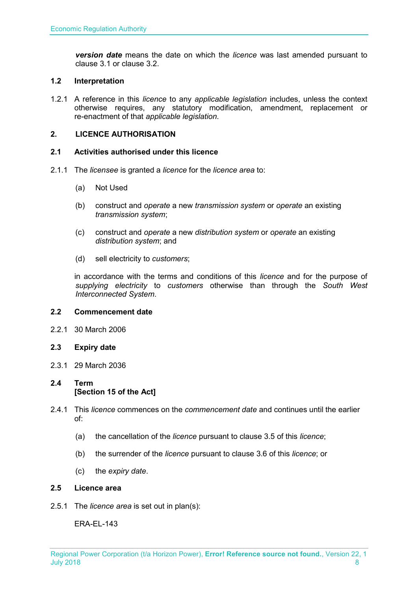*version date* means the date on which the *licence* was last amended pursuant to clause 3.1 or clause 3.2.

### <span id="page-7-0"></span>**1.2 Interpretation**

1.2.1 A reference in this *licence* to any *applicable legislation* includes, unless the context otherwise requires, any statutory modification, amendment, replacement or re-enactment of that *applicable legislation*.

## <span id="page-7-1"></span>**2. LICENCE AUTHORISATION**

## <span id="page-7-2"></span>**2.1 Activities authorised under this licence**

- 2.1.1 The *licensee* is granted a *licence* for the *licence area* to:
	- (a) Not Used
	- (b) construct and *operate* a new *transmission system* or *operate* an existing *transmission system*;
	- (c) construct and *operate* a new *distribution system* or *operate* an existing *distribution system*; and
	- (d) sell electricity to *customers*;

in accordance with the terms and conditions of this *licence* and for the purpose of *supplying electricity* to *customers* otherwise than through the *South West Interconnected System*.

#### <span id="page-7-3"></span>**2.2 Commencement date**

- 2.2.1 30 March 2006
- <span id="page-7-4"></span>**2.3 Expiry date**
- 2.3.1 29 March 2036

## <span id="page-7-5"></span>**2.4 Term [Section 15 of the Act]**

- 2.4.1 This *licence* commences on the *commencement date* and continues until the earlier of:
	- (a) the cancellation of the *licence* pursuant to clause 3.5 of this *licence*;
	- (b) the surrender of the *licence* pursuant to clause 3.6 of this *licence*; or
	- (c) the *expiry date*.

#### <span id="page-7-6"></span>**2.5 Licence area**

2.5.1 The *licence area* is set out in plan(s):

ERA-EL-143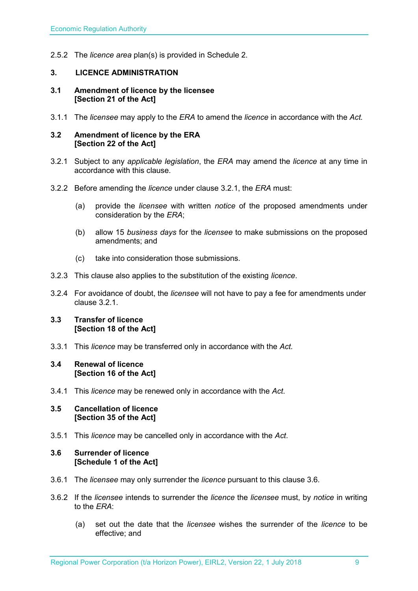2.5.2 The *licence area* plan(s) is provided in Schedule 2.

## <span id="page-8-0"></span>**3. LICENCE ADMINISTRATION**

#### <span id="page-8-1"></span>**3.1 Amendment of licence by the licensee [Section 21 of the Act]**

3.1.1 The *licensee* may apply to the *ERA* to amend the *licence* in accordance with the *Act.*

#### <span id="page-8-2"></span>**3.2 Amendment of licence by the ERA [Section 22 of the Act]**

- 3.2.1 Subject to any *applicable legislation*, the *ERA* may amend the *licence* at any time in accordance with this clause.
- 3.2.2 Before amending the *licence* under clause 3.2.1, the *ERA* must:
	- (a) provide the *licensee* with written *notice* of the proposed amendments under consideration by the *ERA*;
	- (b) allow 15 *business days* for the *licensee* to make submissions on the proposed amendments; and
	- (c) take into consideration those submissions.
- 3.2.3 This clause also applies to the substitution of the existing *licence*.
- 3.2.4 For avoidance of doubt, the *licensee* will not have to pay a fee for amendments under clause 3.2.1.

## <span id="page-8-3"></span>**3.3 Transfer of licence [Section 18 of the Act]**

3.3.1 This *licence* may be transferred only in accordance with the *Act.*

#### <span id="page-8-4"></span>**3.4 Renewal of licence [Section 16 of the Act]**

3.4.1 This *licence* may be renewed only in accordance with the *Act*.

#### <span id="page-8-5"></span>**3.5 Cancellation of licence [Section 35 of the Act]**

3.5.1 This *licence* may be cancelled only in accordance with the *Act*.

## <span id="page-8-6"></span>**3.6 Surrender of licence [Schedule 1 of the Act]**

- 3.6.1 The *licensee* may only surrender the *licence* pursuant to this clause 3.6.
- 3.6.2 If the *licensee* intends to surrender the *licence* the *licensee* must, by *notice* in writing to the *ERA*:
	- (a) set out the date that the *licensee* wishes the surrender of the *licence* to be effective; and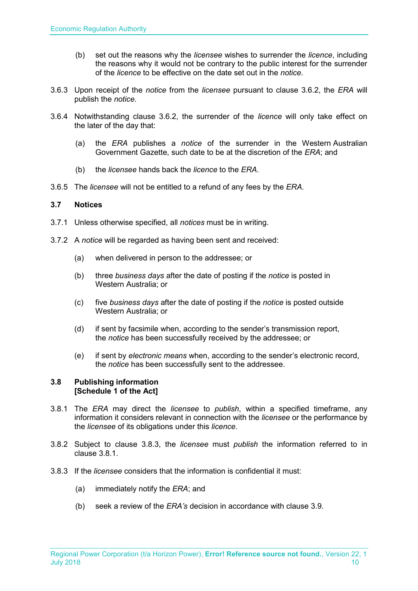- (b) set out the reasons why the *licensee* wishes to surrender the *licence*, including the reasons why it would not be contrary to the public interest for the surrender of the *licence* to be effective on the date set out in the *notice*.
- 3.6.3 Upon receipt of the *notice* from the *licensee* pursuant to clause 3.6.2, the *ERA* will publish the *notice*.
- 3.6.4 Notwithstanding clause 3.6.2, the surrender of the *licence* will only take effect on the later of the day that:
	- (a) the *ERA* publishes a *notice* of the surrender in the Western Australian Government Gazette, such date to be at the discretion of the *ERA*; and
	- (b) the *licensee* hands back the *licence* to the *ERA*.
- 3.6.5 The *licensee* will not be entitled to a refund of any fees by the *ERA*.

## <span id="page-9-0"></span>**3.7 Notices**

- 3.7.1 Unless otherwise specified, all *notices* must be in writing.
- 3.7.2 A *notice* will be regarded as having been sent and received:
	- (a) when delivered in person to the addressee; or
	- (b) three *business days* after the date of posting if the *notice* is posted in Western Australia; or
	- (c) five *business days* after the date of posting if the *notice* is posted outside Western Australia; or
	- (d) if sent by facsimile when, according to the sender's transmission report, the *notice* has been successfully received by the addressee; or
	- (e) if sent by *electronic means* when, according to the sender's electronic record, the *notice* has been successfully sent to the addressee.

## <span id="page-9-1"></span>**3.8 Publishing information [Schedule 1 of the Act]**

- 3.8.1 The *ERA* may direct the *licensee* to *publish*, within a specified timeframe, any information it considers relevant in connection with the *licensee* or the performance by the *licensee* of its obligations under this *licence*.
- 3.8.2 Subject to clause 3.8.3, the *licensee* must *publish* the information referred to in clause 3.8.1.
- 3.8.3 If the *licensee* considers that the information is confidential it must:
	- (a) immediately notify the *ERA*; and
	- (b) seek a review of the *ERA's* decision in accordance with clause 3.9.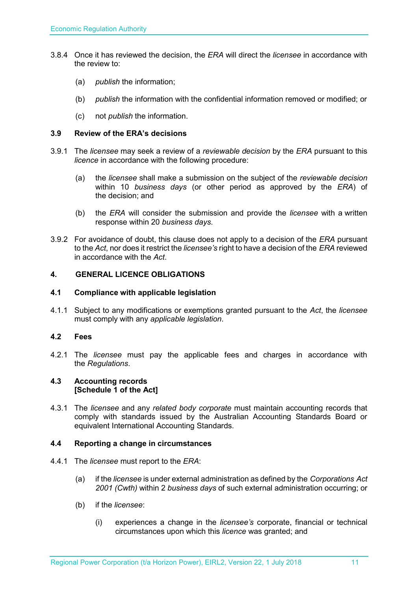- 3.8.4 Once it has reviewed the decision, the *ERA* will direct the *licensee* in accordance with the review to:
	- (a) *publish* the information;
	- (b) *publish* the information with the confidential information removed or modified; or
	- (c) not *publish* the information.

## <span id="page-10-0"></span>**3.9 Review of the ERA's decisions**

- 3.9.1 The *licensee* may seek a review of a *reviewable decision* by the *ERA* pursuant to this *licence* in accordance with the following procedure:
	- (a) the *licensee* shall make a submission on the subject of the *reviewable decision* within 10 *business days* (or other period as approved by the *ERA*) of the decision; and
	- (b) the *ERA* will consider the submission and provide the *licensee* with a written response within 20 *business days*.
- 3.9.2 For avoidance of doubt, this clause does not apply to a decision of the *ERA* pursuant to the *Act*, nor does it restrict the *licensee's* right to have a decision of the *ERA* reviewed in accordance with the *Act*.

## <span id="page-10-1"></span>**4. GENERAL LICENCE OBLIGATIONS**

#### <span id="page-10-2"></span>**4.1 Compliance with applicable legislation**

4.1.1 Subject to any modifications or exemptions granted pursuant to the *Act*, the *licensee* must comply with any *applicable legislation*.

## <span id="page-10-3"></span>**4.2 Fees**

4.2.1 The *licensee* must pay the applicable fees and charges in accordance with the *Regulations*.

#### <span id="page-10-4"></span>**4.3 Accounting records [Schedule 1 of the Act]**

4.3.1 The *licensee* and any *related body corporate* must maintain accounting records that comply with standards issued by the Australian Accounting Standards Board or equivalent International Accounting Standards.

#### <span id="page-10-5"></span>**4.4 Reporting a change in circumstances**

- 4.4.1 The *licensee* must report to the *ERA*:
	- (a) if the *licensee* is under external administration as defined by the *Corporations Act 2001 (Cwth)* within 2 *business days* of such external administration occurring; or
	- (b) if the *licensee*:
		- (i) experiences a change in the *licensee's* corporate, financial or technical circumstances upon which this *licence* was granted; and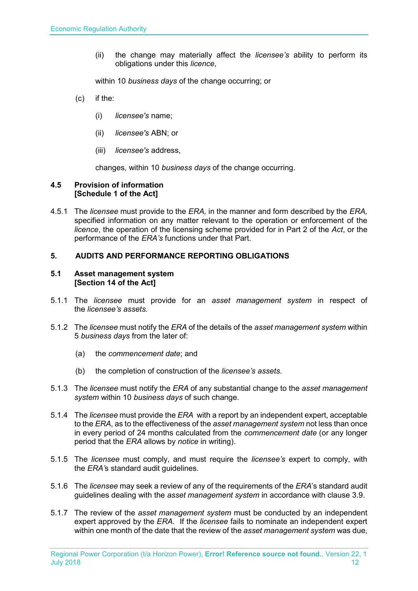(ii) the change may materially affect the *licensee's* ability to perform its obligations under this *licence*,

within 10 *business days* of the change occurring; or

- (c) if the:
	- (i) *licensee's* name;
	- (ii) *licensee's* ABN; or
	- (iii) *licensee's* address,

changes, within 10 *business days* of the change occurring.

### <span id="page-11-0"></span>**4.5 Provision of information [Schedule 1 of the Act]**

4.5.1 The *licensee* must provide to the *ERA,* in the manner and form described by the *ERA,*  specified information on any matter relevant to the operation or enforcement of the *licence*, the operation of the licensing scheme provided for in Part 2 of the *Act*, or the performance of the *ERA's* functions under that Part.

## <span id="page-11-1"></span>**5. AUDITS AND PERFORMANCE REPORTING OBLIGATIONS**

### <span id="page-11-2"></span>**5.1 Asset management system [Section 14 of the Act]**

- 5.1.1 The *licensee* must provide for an *asset management system* in respect of the *licensee's assets.*
- 5.1.2 The *licensee* must notify the *ERA* of the details of the *asset management system* within 5 *business days* from the later of:
	- (a) the *commencement date*; and
	- (b) the completion of construction of the *licensee's assets*.
- 5.1.3 The *licensee* must notify the *ERA* of any substantial change to the *asset management system* within 10 *business days* of such change.
- 5.1.4 The *licensee* must provide the *ERA* with a report by an independent expert, acceptable to the *ERA*, as to the effectiveness of the *asset management system* not less than once in every period of 24 months calculated from the *commencement date* (or any longer period that the *ERA* allows by *notice* in writing).
- 5.1.5 The *licensee* must comply, and must require the *licensee's* expert to comply, with the *ERA'*s standard audit guidelines.
- 5.1.6 The *licensee* may seek a review of any of the requirements of the *ERA*'s standard audit guidelines dealing with the *asset management system* in accordance with clause 3.9.
- 5.1.7 The review of the *asset management system* must be conducted by an independent expert approved by the *ERA*. If the *licensee* fails to nominate an independent expert within one month of the date that the review of the *asset management system* was due,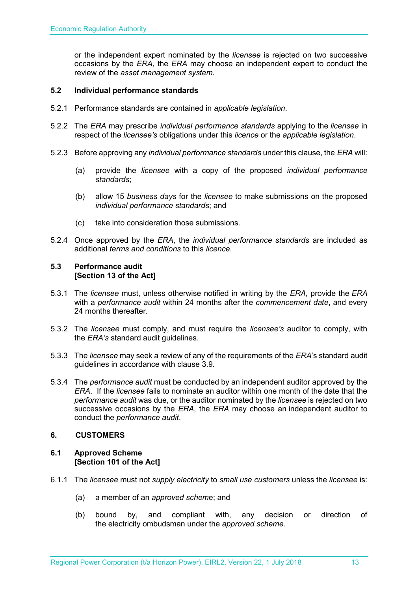or the independent expert nominated by the *licensee* is rejected on two successive occasions by the *ERA*, the *ERA* may choose an independent expert to conduct the review of the *asset management system.*

## <span id="page-12-0"></span>**5.2 Individual performance standards**

- 5.2.1 Performance standards are contained in *applicable legislation*.
- 5.2.2 The *ERA* may prescribe *individual performance standards* applying to the *licensee* in respect of the *licensee's* obligations under this *licence* or the *applicable legislation*.
- 5.2.3 Before approving any *individual performance standards* under this clause, the *ERA* will:
	- (a) provide the *licensee* with a copy of the proposed *individual performance standards*;
	- (b) allow 15 *business days* for the *licensee* to make submissions on the proposed *individual performance standards*; and
	- (c) take into consideration those submissions.
- 5.2.4 Once approved by the *ERA*, the *individual performance standards* are included as additional *terms and conditions* to this *licence*.

### <span id="page-12-1"></span>**5.3 Performance audit [Section 13 of the Act]**

- 5.3.1 The *licensee* must, unless otherwise notified in writing by the *ERA*, provide the *ERA* with a *performance audit* within 24 months after the *commencement date*, and every 24 months thereafter.
- 5.3.2 The *licensee* must comply, and must require the *licensee's* auditor to comply, with the *ERA's* standard audit guidelines.
- 5.3.3 The *licensee* may seek a review of any of the requirements of the *ERA*'s standard audit guidelines in accordance with clause 3.9.
- 5.3.4 The *performance audit* must be conducted by an independent auditor approved by the *ERA*. If the *licensee* fails to nominate an auditor within one month of the date that the *performance audit* was due, or the auditor nominated by the *licensee* is rejected on two successive occasions by the *ERA*, the *ERA* may choose an independent auditor to conduct the *performance audit*.

## <span id="page-12-2"></span>**6. CUSTOMERS**

## <span id="page-12-3"></span>**6.1 Approved Scheme [Section 101 of the Act]**

- 6.1.1 The *licensee* must not *supply electricity* to *small use customers* unless the *licensee* is:
	- (a) a member of an *approved schem*e; and
	- (b) bound by, and compliant with, any decision or direction of the electricity ombudsman under the *approved scheme.*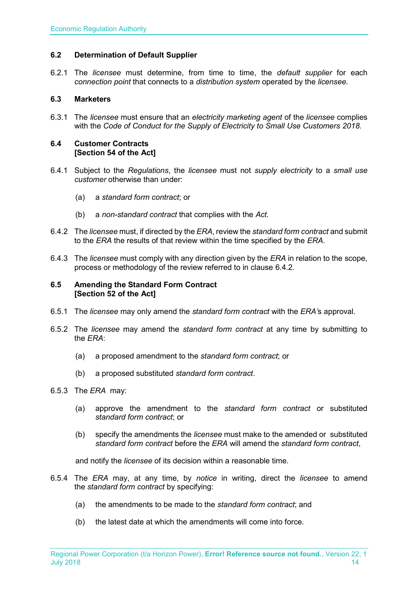## <span id="page-13-0"></span>**6.2 Determination of Default Supplier**

6.2.1 The *licensee* must determine, from time to time, the *default supplier* for each *connection point* that connects to a *distribution system* operated by the *licensee.*

## <span id="page-13-1"></span>**6.3 Marketers**

6.3.1 The *licensee* must ensure that an *electricity marketing agent* of the *licensee* complies with the *Code of Conduct for the Supply of Electricity to Small Use Customers 2018.*

#### <span id="page-13-2"></span>**6.4 Customer Contracts [Section 54 of the Act]**

- 6.4.1 Subject to the *Regulations*, the *licensee* must not *supply electricity* to a *small use customer* otherwise than under:
	- (a) a *standard form contract*; or
	- (b) a *non-standard contract* that complies with the *Act.*
- 6.4.2 The *licensee* must, if directed by the *ERA*, review the *standard form contract* and submit to the *ERA* the results of that review within the time specified by the *ERA*.
- 6.4.3 The *licensee* must comply with any direction given by the *ERA* in relation to the scope, process or methodology of the review referred to in clause 6.4.2.

#### <span id="page-13-3"></span>**6.5 Amending the Standard Form Contract [Section 52 of the Act]**

- 6.5.1 The *licensee* may only amend the *standard form contract* with the *ERA'*s approval.
- 6.5.2 The *licensee* may amend the *standard form contract* at any time by submitting to the *ERA*:
	- (a) a proposed amendment to the *standard form contract*; or
	- (b) a proposed substituted *standard form contract*.

## 6.5.3 The *ERA* may:

- (a) approve the amendment to the *standard form contract* or substituted *standard form contract*; or
- (b) specify the amendments the *licensee* must make to the amended or substituted *standard form contract* before the *ERA* will amend the *standard form contract*,

and notify the *licensee* of its decision within a reasonable time.

- 6.5.4 The *ERA* may, at any time, by *notice* in writing, direct the *licensee* to amend the *standard form contract* by specifying:
	- (a) the amendments to be made to the *standard form contract*; and
	- (b) the latest date at which the amendments will come into force.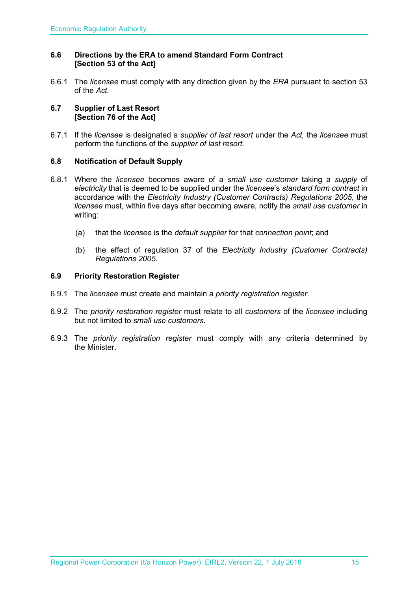## <span id="page-14-0"></span>**6.6 Directions by the ERA to amend Standard Form Contract [Section 53 of the Act]**

6.6.1 The *licensee* must comply with any direction given by the *ERA* pursuant to section 53 of the *Act.* 

### <span id="page-14-1"></span>**6.7 Supplier of Last Resort [Section 76 of the Act]**

6.7.1 If the *licensee* is designated a *supplier of last resort* under the *Act,* the *licensee* must perform the functions of the *supplier of last resort.* 

## <span id="page-14-2"></span>**6.8 Notification of Default Supply**

- 6.8.1 Where the *licensee* becomes aware of a *small use customer* taking a *supply* of *electricity* that is deemed to be supplied under the *licensee*'s *standard form contract* in accordance with the *[Electricity Industry \(Customer Contracts\) Regulations 2005](http://www.slp.wa.gov.au/legislation/statutes.nsf/main_mrtitle_1345_homepage.html)*, the *licensee* must, within five days after becoming aware, notify the *small use customer* in writing:
	- (a) that the *licensee* is the *default supplier* for that *connection point*; and
	- (b) the effect of regulation 37 of the *[Electricity Industry \(Customer Contracts\)](http://www.slp.wa.gov.au/legislation/statutes.nsf/main_mrtitle_1345_homepage.html)  [Regulations 2005](http://www.slp.wa.gov.au/legislation/statutes.nsf/main_mrtitle_1345_homepage.html)*.

## <span id="page-14-3"></span>**6.9 Priority Restoration Register**

- 6.9.1 The *licensee* must create and maintain a *priority registration register*.
- 6.9.2 The *priority restoration register* must relate to all *customers* of the *licensee* including but not limited to *small use customers.*
- 6.9.3 The *priority registration register* must comply with any criteria determined by the Minister.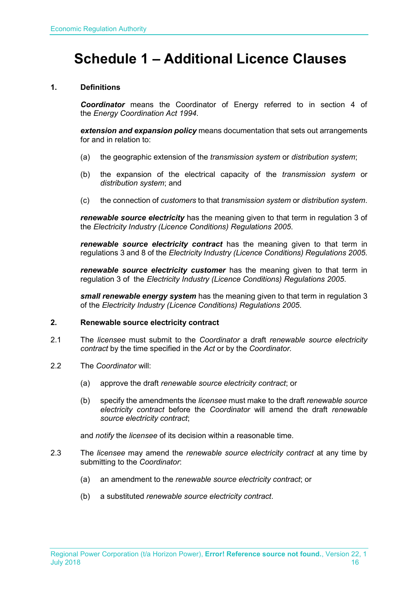# <span id="page-15-0"></span>**Schedule 1 – Additional Licence Clauses**

## **1. Definitions**

*Coordinator* means the Coordinator of Energy referred to in section 4 of the *Energy Coordination Act 1994*.

*extension and expansion policy* means documentation that sets out arrangements for and in relation to:

- (a) the geographic extension of the *transmission system* or *distribution system*;
- (b) the expansion of the electrical capacity of the *transmission system* or *distribution system*; and
- (c) the connection of *customers* to that *transmission system* or *distribution system*.

*renewable source electricity* has the meaning given to that term in regulation 3 of the *Electricity Industry (Licence Conditions) Regulations 2005*.

*renewable source electricity contract* has the meaning given to that term in regulations 3 and 8 of the *Electricity Industry (Licence Conditions) Regulations 2005*.

*renewable source electricity customer* has the meaning given to that term in regulation 3 of the *Electricity Industry (Licence Conditions) Regulations 2005*.

*small renewable energy system* has the meaning given to that term in regulation 3 of the *Electricity Industry (Licence Conditions) Regulations 2005*.

## **2. Renewable source electricity contract**

- 2.1 The *licensee* must submit to the *Coordinator* a draft *renewable source electricity contract* by the time specified in the *Act* or by the *Coordinator*.
- 2.2 The *Coordinator* will:
	- (a) approve the draft *renewable source electricity contract*; or
	- (b) specify the amendments the *licensee* must make to the draft *renewable source electricity contract* before the *Coordinator* will amend the draft *renewable source electricity contract*;

and *notify* the *licensee* of its decision within a reasonable time.

- 2.3 The *licensee* may amend the *renewable source electricity contract* at any time by submitting to the *Coordinator*:
	- (a) an amendment to the *renewable source electricity contract*; or
	- (b) a substituted *renewable source electricity contract*.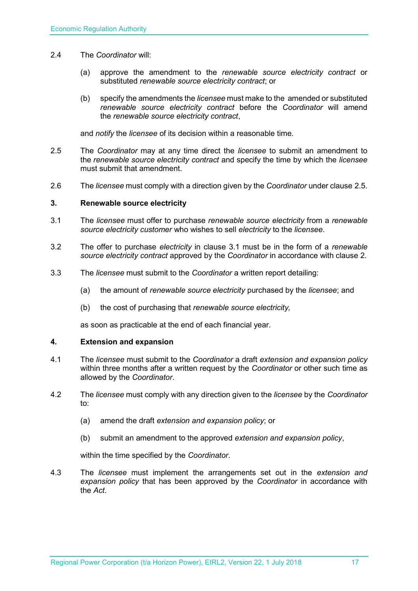- 2.4 The *Coordinator* will:
	- (a) approve the amendment to the *renewable source electricity contract* or substituted *renewable source electricity contract*; or
	- (b) specify the amendments the *licensee* must make to the amended or substituted *renewable source electricity contract* before the *Coordinator* will amend the *renewable source electricity contract*,

and *notify* the *licensee* of its decision within a reasonable time.

- 2.5 The *Coordinator* may at any time direct the *licensee* to submit an amendment to the *renewable source electricity contract* and specify the time by which the *licensee*  must submit that amendment.
- 2.6 The *licensee* must comply with a direction given by the *Coordinator* under clause 2.5.

#### **3. Renewable source electricity**

- 3.1 The *licensee* must offer to purchase *renewable source electricity* from a *renewable source electricity customer* who wishes to sell *electricity* to the *licensee*.
- 3.2 The offer to purchase *electricity* in clause 3.1 must be in the form of a *renewable source electricity contract* approved by the *Coordinator* in accordance with clause 2.
- 3.3 The *licensee* must submit to the *Coordinator* a written report detailing:
	- (a) the amount of *renewable source electricity* purchased by the *licensee*; and
	- (b) the cost of purchasing that *renewable source electricity,*

as soon as practicable at the end of each financial year.

#### **4. Extension and expansion**

- 4.1 The *licensee* must submit to the *Coordinator* a draft *extension and expansion policy* within three months after a written request by the *Coordinator* or other such time as allowed by the *Coordinator*.
- 4.2 The *licensee* must comply with any direction given to the *licensee* by the *Coordinator* to:
	- (a) amend the draft *extension and expansion policy*; or
	- (b) submit an amendment to the approved *extension and expansion policy*,

within the time specified by the *Coordinator*.

4.3 The *licensee* must implement the arrangements set out in the *extension and expansion policy* that has been approved by the *Coordinator* in accordance with the *Act*.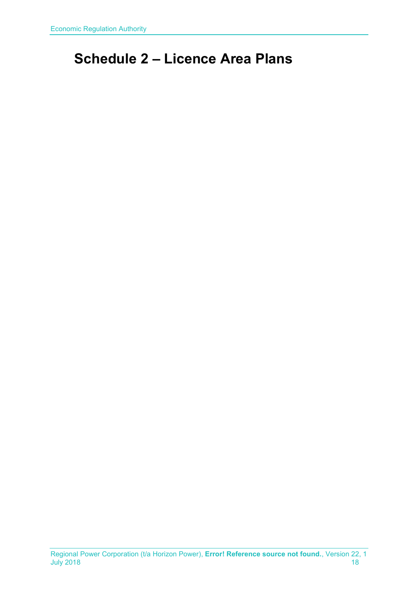# <span id="page-17-0"></span>**Schedule 2 – Licence Area Plans**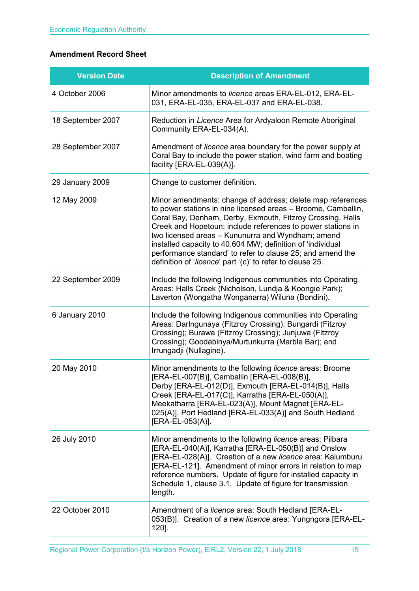## **Amendment Record Sheet**

| <b>Version Date</b> | <b>Description of Amendment</b>                                                                                                                                                                                                                                                                                                                                                                                                                                                                        |
|---------------------|--------------------------------------------------------------------------------------------------------------------------------------------------------------------------------------------------------------------------------------------------------------------------------------------------------------------------------------------------------------------------------------------------------------------------------------------------------------------------------------------------------|
| 4 October 2006      | Minor amendments to licence areas ERA-EL-012, ERA-EL-<br>031, ERA-EL-035, ERA-EL-037 and ERA-EL-038.                                                                                                                                                                                                                                                                                                                                                                                                   |
| 18 September 2007   | Reduction in Licence Area for Ardyaloon Remote Aboriginal<br>Community ERA-EL-034(A).                                                                                                                                                                                                                                                                                                                                                                                                                  |
| 28 September 2007   | Amendment of licence area boundary for the power supply at<br>Coral Bay to include the power station, wind farm and boating<br>facility [ERA-EL-039(A)].                                                                                                                                                                                                                                                                                                                                               |
| 29 January 2009     | Change to customer definition.                                                                                                                                                                                                                                                                                                                                                                                                                                                                         |
| 12 May 2009         | Minor amendments: change of address; delete map references<br>to power stations in nine licensed areas - Broome, Camballin,<br>Coral Bay, Denham, Derby, Exmouth, Fitzroy Crossing, Halls<br>Creek and Hopetoun; include references to power stations in<br>two licensed areas - Kununurra and Wyndham; amend<br>installed capacity to 40.604 MW; definition of 'individual<br>performance standard' to refer to clause 25; and amend the<br>definition of 'licence' part '(c)' to refer to clause 25. |
| 22 September 2009   | Include the following Indigenous communities into Operating<br>Areas: Halls Creek (Nicholson, Lundja & Koongie Park);<br>Laverton (Wongatha Wonganarra) Wiluna (Bondini).                                                                                                                                                                                                                                                                                                                              |
| 6 January 2010      | Include the following Indigenous communities into Operating<br>Areas: Darlngunaya (Fitzroy Crossing); Bungardi (Fitzroy<br>Crossing); Burawa (Fitzroy Crossing); Junjuwa (Fitzroy<br>Crossing); Goodabinya/Murtunkurra (Marble Bar); and<br>Irrungadji (Nullagine).                                                                                                                                                                                                                                    |
| 20 May 2010         | Minor amendments to the following licence areas: Broome<br>[ERA-EL-007(B)], Camballin [ERA-EL-008(B)],<br>Derby [ERA-EL-012(D)], Exmouth [ERA-EL-014(B)], Halls<br>Creek [ERA-EL-017(C)], Karratha [ERA-EL-050(A)],<br>Meekatharra [ERA-EL-023(A)], Mount Magnet [ERA-EL-<br>025(A)], Port Hedland [ERA-EL-033(A)] and South Hedland<br>[ERA-EL-053(A)].                                                                                                                                               |
| 26 July 2010        | Minor amendments to the following licence areas: Pilbara<br>[ERA-EL-040(A)], Karratha [ERA-EL-050(B)] and Onslow<br>[ERA-EL-028(A)]. Creation of a new licence area: Kalumburu<br>[ERA-EL-121]. Amendment of minor errors in relation to map<br>reference numbers. Update of figure for installed capacity in<br>Schedule 1, clause 3.1. Update of figure for transmission<br>length.                                                                                                                  |
| 22 October 2010     | Amendment of a licence area: South Hedland [ERA-EL-<br>053(B)]. Creation of a new licence area: Yungngora [ERA-EL-<br>$120$ ].                                                                                                                                                                                                                                                                                                                                                                         |